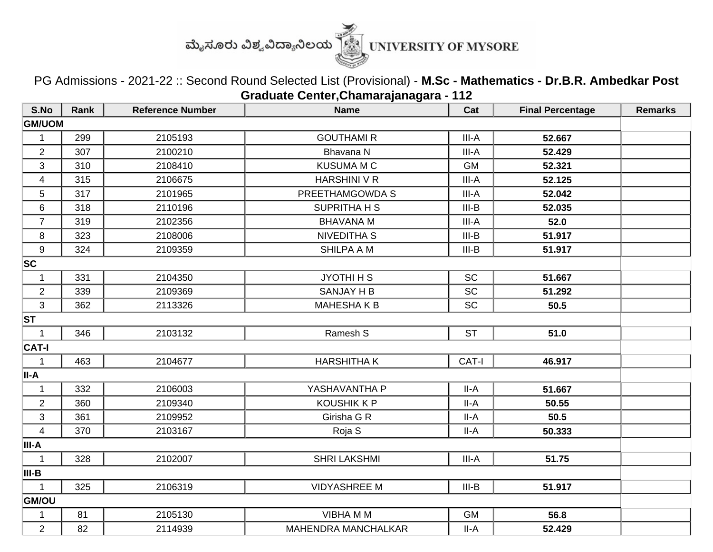

PG Admissions - 2021-22 :: Second Round Selected List (Provisional) - **M.Sc - Mathematics - Dr.B.R. Ambedkar Post Graduate Center,Chamarajanagara - 112**

| S.No                    | <b>Rank</b> | <b>Reference Number</b> | <b>Name</b>         | Cat       | <b>Final Percentage</b> | <b>Remarks</b> |
|-------------------------|-------------|-------------------------|---------------------|-----------|-------------------------|----------------|
| <b>GM/UOM</b>           |             |                         |                     |           |                         |                |
| $\mathbf 1$             | 299         | 2105193                 | <b>GOUTHAMI R</b>   | III-A     | 52.667                  |                |
| $\overline{2}$          | 307         | 2100210                 | Bhavana N           | III-A     | 52.429                  |                |
| 3                       | 310         | 2108410                 | <b>KUSUMA M C</b>   | <b>GM</b> | 52.321                  |                |
| $\overline{\mathbf{4}}$ | 315         | 2106675                 | <b>HARSHINI V R</b> | III-A     | 52.125                  |                |
| 5                       | 317         | 2101965                 | PREETHAMGOWDA S     | III-A     | 52.042                  |                |
| 6                       | 318         | 2110196                 | <b>SUPRITHA H S</b> | $III-B$   | 52.035                  |                |
| $\overline{7}$          | 319         | 2102356                 | <b>BHAVANA M</b>    | III-A     | 52.0                    |                |
| 8                       | 323         | 2108006                 | <b>NIVEDITHA S</b>  | $III-B$   | 51.917                  |                |
| 9                       | 324         | 2109359                 | <b>SHILPA A M</b>   | $III-B$   | 51.917                  |                |
| SC                      |             |                         |                     |           |                         |                |
| 1                       | 331         | 2104350                 | JYOTHI H S          | <b>SC</b> | 51.667                  |                |
| $\overline{2}$          | 339         | 2109369                 | <b>SANJAY H B</b>   | <b>SC</b> | 51.292                  |                |
| $\mathfrak{S}$          | 362         | 2113326                 | <b>MAHESHAKB</b>    | <b>SC</b> | 50.5                    |                |
| <b>ST</b>               |             |                         |                     |           |                         |                |
| $\mathbf{1}$            | 346         | 2103132                 | Ramesh S            | <b>ST</b> | 51.0                    |                |
| <b>CAT-I</b>            |             |                         |                     |           |                         |                |
| $\mathbf{1}$            | 463         | 2104677                 | <b>HARSHITHAK</b>   | CAT-I     | 46.917                  |                |
| II-A                    |             |                         |                     |           |                         |                |
| $\mathbf{1}$            | 332         | 2106003                 | YASHAVANTHA P       | II-A      | 51.667                  |                |
| $\overline{2}$          | 360         | 2109340                 | <b>KOUSHIK K P</b>  | $II-A$    | 50.55                   |                |
| 3                       | 361         | 2109952                 | Girisha G R         | II-A      | 50.5                    |                |
| $\overline{\mathbf{4}}$ | 370         | 2103167                 | Roja S              | $II-A$    | 50.333                  |                |
| III-A                   |             |                         |                     |           |                         |                |
| $\mathbf{1}$            | 328         | 2102007                 | <b>SHRI LAKSHMI</b> | III-A     | 51.75                   |                |
| III-B                   |             |                         |                     |           |                         |                |
| $\mathbf{1}$            | 325         | 2106319                 | <b>VIDYASHREE M</b> | $III-B$   | 51.917                  |                |
| <b>GM/OU</b>            |             |                         |                     |           |                         |                |
| 1                       | 81          | 2105130                 | <b>VIBHAMM</b>      | <b>GM</b> | 56.8                    |                |
| $\overline{2}$          | 82          | 2114939                 | MAHENDRA MANCHALKAR | II-A      | 52.429                  |                |